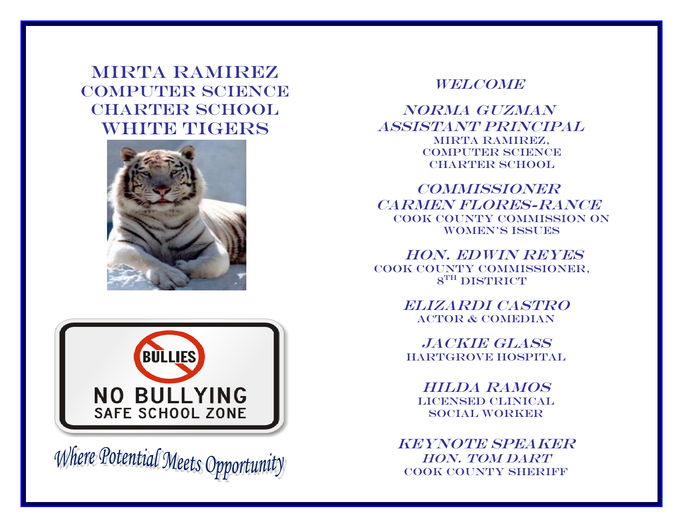MIRTA RAMIREZ COMPUTER SCIENCE CHARTER SCHOOL WHITE TIGERS





Where Potential Meets Opportunity

## **WELCOME**

Norma Guzman Assistant Principal MIRTA RAMIREZ, COMPUTER SCIENCE CHARTER SCHOOL

**COMMISSIONER** CARMEN FLORES-RANCE Cook County Commission on WOMEN'S ISSUES

Hon. Edwin Reyes Cook County Commissioner,  $8^{TH}$  DISTRICT

> Elizardi Castro Actor & Comedian

Jackie Glass Hartgrove Hospital

Hilda Ramos LICENSED CLINICAL Social Worker

KEYNOTE SPEAKER HON. TOM DART COOK COUNTY SHERIFF